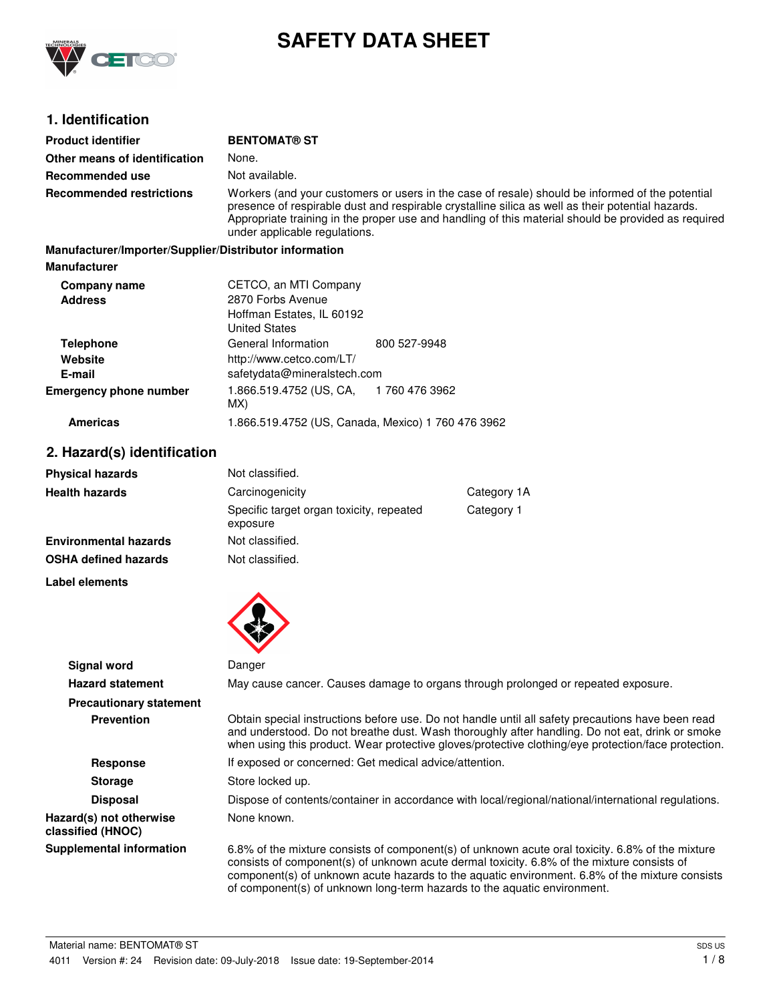

# **SAFETY DATA SHEET**

## **1. Identification**

| <b>Product identifier</b>                              | <b>BENTOMAT® ST</b>                                                                                                                                                                                                                                                                                                                          |                |  |
|--------------------------------------------------------|----------------------------------------------------------------------------------------------------------------------------------------------------------------------------------------------------------------------------------------------------------------------------------------------------------------------------------------------|----------------|--|
| Other means of identification                          | None.                                                                                                                                                                                                                                                                                                                                        |                |  |
|                                                        |                                                                                                                                                                                                                                                                                                                                              |                |  |
| Recommended use                                        | Not available.                                                                                                                                                                                                                                                                                                                               |                |  |
| <b>Recommended restrictions</b>                        | Workers (and your customers or users in the case of resale) should be informed of the potential<br>presence of respirable dust and respirable crystalline silica as well as their potential hazards.<br>Appropriate training in the proper use and handling of this material should be provided as required<br>under applicable regulations. |                |  |
| Manufacturer/Importer/Supplier/Distributor information |                                                                                                                                                                                                                                                                                                                                              |                |  |
| <b>Manufacturer</b>                                    |                                                                                                                                                                                                                                                                                                                                              |                |  |
| Company name                                           | CETCO, an MTI Company                                                                                                                                                                                                                                                                                                                        |                |  |
| <b>Address</b>                                         | 2870 Forbs Avenue                                                                                                                                                                                                                                                                                                                            |                |  |
|                                                        | Hoffman Estates, IL 60192                                                                                                                                                                                                                                                                                                                    |                |  |
|                                                        | <b>United States</b>                                                                                                                                                                                                                                                                                                                         |                |  |
| <b>Telephone</b>                                       | General Information                                                                                                                                                                                                                                                                                                                          | 800 527-9948   |  |
| Website                                                | http://www.cetco.com/LT/                                                                                                                                                                                                                                                                                                                     |                |  |
| E-mail                                                 | safetydata@mineralstech.com                                                                                                                                                                                                                                                                                                                  |                |  |
| <b>Emergency phone number</b>                          | 1.866.519.4752 (US, CA,<br>MX)                                                                                                                                                                                                                                                                                                               | 1 760 476 3962 |  |
| <b>Americas</b>                                        | 1.866.519.4752 (US, Canada, Mexico) 1 760 476 3962                                                                                                                                                                                                                                                                                           |                |  |
| 2. Hazard(s) identification                            |                                                                                                                                                                                                                                                                                                                                              |                |  |
| <b>Physical hazards</b>                                | Not classified.                                                                                                                                                                                                                                                                                                                              |                |  |
| Health hazards                                         | Carcinogenicity                                                                                                                                                                                                                                                                                                                              | Category 1A    |  |

| Physical hazards             | Not classified.                                      |             |
|------------------------------|------------------------------------------------------|-------------|
| Health hazards               | Carcinogenicity                                      | Category 1A |
|                              | Specific target organ toxicity, repeated<br>exposure | Category 1  |
| <b>Environmental hazards</b> | Not classified.                                      |             |
| OSHA defined hazards         | Not classified.                                      |             |
|                              |                                                      |             |

**Label elements**



| <b>Signal word</b>                           | Danger                                                                                                                                                                                                                                                                                                                                                                       |
|----------------------------------------------|------------------------------------------------------------------------------------------------------------------------------------------------------------------------------------------------------------------------------------------------------------------------------------------------------------------------------------------------------------------------------|
| <b>Hazard statement</b>                      | May cause cancer. Causes damage to organs through prolonged or repeated exposure.                                                                                                                                                                                                                                                                                            |
| <b>Precautionary statement</b>               |                                                                                                                                                                                                                                                                                                                                                                              |
| <b>Prevention</b>                            | Obtain special instructions before use. Do not handle until all safety precautions have been read<br>and understood. Do not breathe dust. Wash thoroughly after handling. Do not eat, drink or smoke<br>when using this product. Wear protective gloves/protective clothing/eye protection/face protection.                                                                  |
| <b>Response</b>                              | If exposed or concerned: Get medical advice/attention.                                                                                                                                                                                                                                                                                                                       |
| <b>Storage</b>                               | Store locked up.                                                                                                                                                                                                                                                                                                                                                             |
| <b>Disposal</b>                              | Dispose of contents/container in accordance with local/regional/national/international regulations.                                                                                                                                                                                                                                                                          |
| Hazard(s) not otherwise<br>classified (HNOC) | None known.                                                                                                                                                                                                                                                                                                                                                                  |
| <b>Supplemental information</b>              | 6.8% of the mixture consists of component(s) of unknown acute oral toxicity. 6.8% of the mixture<br>consists of component(s) of unknown acute dermal toxicity. 6.8% of the mixture consists of<br>component(s) of unknown acute hazards to the aquatic environment. 6.8% of the mixture consists<br>of component(s) of unknown long-term hazards to the aquatic environment. |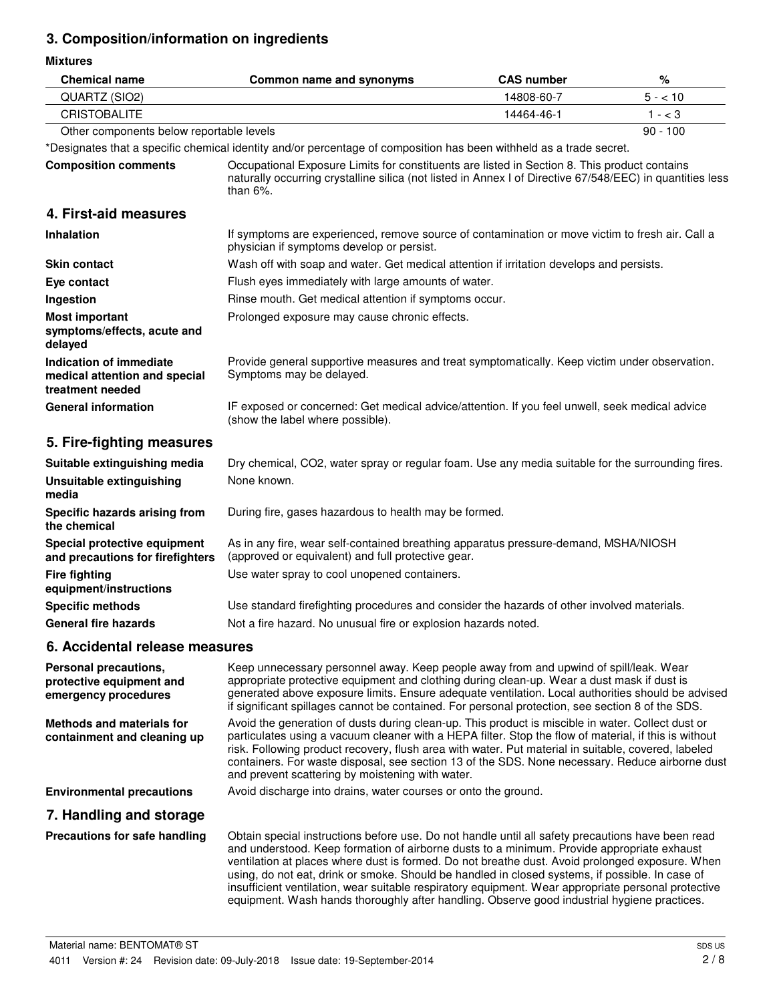## **3. Composition/information on ingredients**

**Mixtures**

| <b>Chemical name</b>                                                         | Common name and synonyms                                                                                                                                                                                                                                                                                                                                                                                                                                                                                                                                                                                    | <b>CAS number</b> | $\%$       |
|------------------------------------------------------------------------------|-------------------------------------------------------------------------------------------------------------------------------------------------------------------------------------------------------------------------------------------------------------------------------------------------------------------------------------------------------------------------------------------------------------------------------------------------------------------------------------------------------------------------------------------------------------------------------------------------------------|-------------------|------------|
| QUARTZ (SIO2)                                                                |                                                                                                                                                                                                                                                                                                                                                                                                                                                                                                                                                                                                             | 14808-60-7        | $5 - 10$   |
| <b>CRISTOBALITE</b>                                                          |                                                                                                                                                                                                                                                                                                                                                                                                                                                                                                                                                                                                             | 14464-46-1        | $1 - < 3$  |
| Other components below reportable levels                                     |                                                                                                                                                                                                                                                                                                                                                                                                                                                                                                                                                                                                             |                   | $90 - 100$ |
|                                                                              | *Designates that a specific chemical identity and/or percentage of composition has been withheld as a trade secret.                                                                                                                                                                                                                                                                                                                                                                                                                                                                                         |                   |            |
| <b>Composition comments</b>                                                  | Occupational Exposure Limits for constituents are listed in Section 8. This product contains<br>naturally occurring crystalline silica (not listed in Annex I of Directive 67/548/EEC) in quantities less<br>than $6\%$ .                                                                                                                                                                                                                                                                                                                                                                                   |                   |            |
| 4. First-aid measures                                                        |                                                                                                                                                                                                                                                                                                                                                                                                                                                                                                                                                                                                             |                   |            |
| <b>Inhalation</b>                                                            | If symptoms are experienced, remove source of contamination or move victim to fresh air. Call a<br>physician if symptoms develop or persist.                                                                                                                                                                                                                                                                                                                                                                                                                                                                |                   |            |
| <b>Skin contact</b>                                                          | Wash off with soap and water. Get medical attention if irritation develops and persists.                                                                                                                                                                                                                                                                                                                                                                                                                                                                                                                    |                   |            |
| Eye contact                                                                  | Flush eyes immediately with large amounts of water.                                                                                                                                                                                                                                                                                                                                                                                                                                                                                                                                                         |                   |            |
| Ingestion                                                                    | Rinse mouth. Get medical attention if symptoms occur.                                                                                                                                                                                                                                                                                                                                                                                                                                                                                                                                                       |                   |            |
| <b>Most important</b><br>symptoms/effects, acute and<br>delayed              | Prolonged exposure may cause chronic effects.                                                                                                                                                                                                                                                                                                                                                                                                                                                                                                                                                               |                   |            |
| Indication of immediate<br>medical attention and special<br>treatment needed | Provide general supportive measures and treat symptomatically. Keep victim under observation.<br>Symptoms may be delayed.                                                                                                                                                                                                                                                                                                                                                                                                                                                                                   |                   |            |
| <b>General information</b>                                                   | IF exposed or concerned: Get medical advice/attention. If you feel unwell, seek medical advice<br>(show the label where possible).                                                                                                                                                                                                                                                                                                                                                                                                                                                                          |                   |            |
| 5. Fire-fighting measures                                                    |                                                                                                                                                                                                                                                                                                                                                                                                                                                                                                                                                                                                             |                   |            |
| Suitable extinguishing media                                                 | Dry chemical, CO2, water spray or regular foam. Use any media suitable for the surrounding fires.                                                                                                                                                                                                                                                                                                                                                                                                                                                                                                           |                   |            |
| <b>Unsuitable extinguishing</b><br>media                                     | None known.                                                                                                                                                                                                                                                                                                                                                                                                                                                                                                                                                                                                 |                   |            |
| Specific hazards arising from<br>the chemical                                | During fire, gases hazardous to health may be formed.                                                                                                                                                                                                                                                                                                                                                                                                                                                                                                                                                       |                   |            |
| Special protective equipment<br>and precautions for firefighters             | As in any fire, wear self-contained breathing apparatus pressure-demand, MSHA/NIOSH<br>(approved or equivalent) and full protective gear.                                                                                                                                                                                                                                                                                                                                                                                                                                                                   |                   |            |
| <b>Fire fighting</b><br>equipment/instructions                               | Use water spray to cool unopened containers.                                                                                                                                                                                                                                                                                                                                                                                                                                                                                                                                                                |                   |            |
| <b>Specific methods</b>                                                      | Use standard firefighting procedures and consider the hazards of other involved materials.                                                                                                                                                                                                                                                                                                                                                                                                                                                                                                                  |                   |            |
| <b>General fire hazards</b>                                                  | Not a fire hazard. No unusual fire or explosion hazards noted.                                                                                                                                                                                                                                                                                                                                                                                                                                                                                                                                              |                   |            |
| 6. Accidental release measures                                               |                                                                                                                                                                                                                                                                                                                                                                                                                                                                                                                                                                                                             |                   |            |
| Personal precautions,<br>protective equipment and<br>emergency procedures    | Keep unnecessary personnel away. Keep people away from and upwind of spill/leak. Wear<br>appropriate protective equipment and clothing during clean-up. Wear a dust mask if dust is<br>generated above exposure limits. Ensure adequate ventilation. Local authorities should be advised<br>if significant spillages cannot be contained. For personal protection, see section 8 of the SDS.                                                                                                                                                                                                                |                   |            |
| <b>Methods and materials for</b><br>containment and cleaning up              | Avoid the generation of dusts during clean-up. This product is miscible in water. Collect dust or<br>particulates using a vacuum cleaner with a HEPA filter. Stop the flow of material, if this is without<br>risk. Following product recovery, flush area with water. Put material in suitable, covered, labeled<br>containers. For waste disposal, see section 13 of the SDS. None necessary. Reduce airborne dust<br>and prevent scattering by moistening with water.                                                                                                                                    |                   |            |
| <b>Environmental precautions</b>                                             | Avoid discharge into drains, water courses or onto the ground.                                                                                                                                                                                                                                                                                                                                                                                                                                                                                                                                              |                   |            |
| 7. Handling and storage                                                      |                                                                                                                                                                                                                                                                                                                                                                                                                                                                                                                                                                                                             |                   |            |
| Precautions for safe handling                                                | Obtain special instructions before use. Do not handle until all safety precautions have been read<br>and understood. Keep formation of airborne dusts to a minimum. Provide appropriate exhaust<br>ventilation at places where dust is formed. Do not breathe dust. Avoid prolonged exposure. When<br>using, do not eat, drink or smoke. Should be handled in closed systems, if possible. In case of<br>insufficient ventilation, wear suitable respiratory equipment. Wear appropriate personal protective<br>equipment. Wash hands thoroughly after handling. Observe good industrial hygiene practices. |                   |            |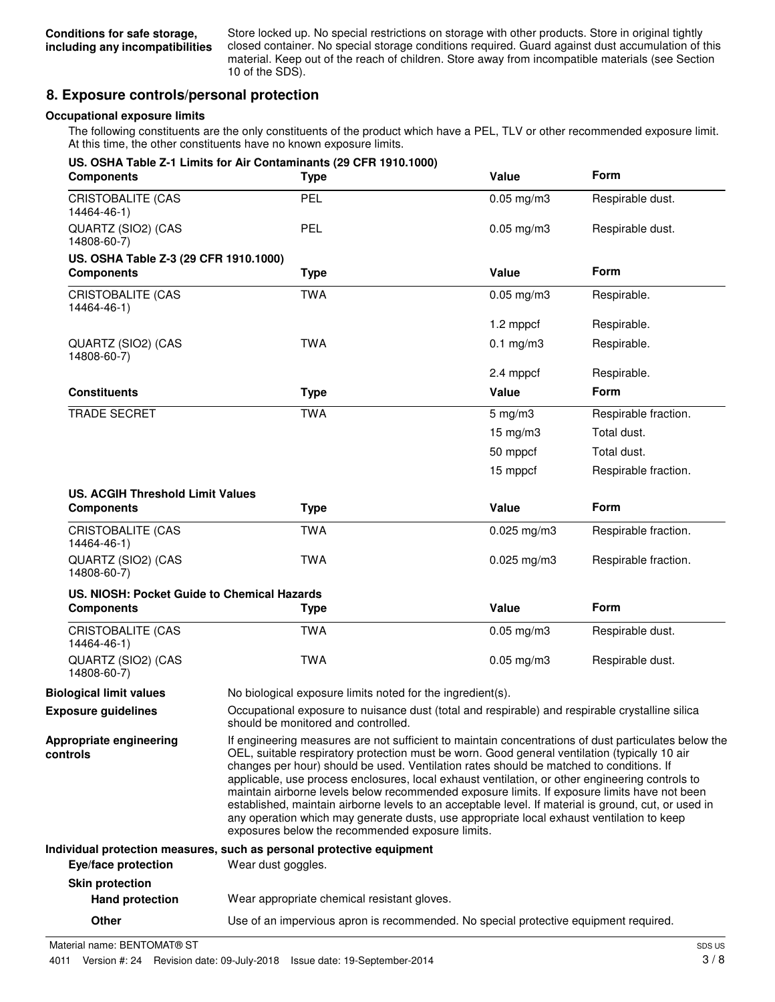Store locked up. No special restrictions on storage with other products. Store in original tightly closed container. No special storage conditions required. Guard against dust accumulation of this material. Keep out of the reach of children. Store away from incompatible materials (see Section 10 of the SDS).

### **8. Exposure controls/personal protection**

#### **Occupational exposure limits**

The following constituents are the only constituents of the product which have a PEL, TLV or other recommended exposure limit. At this time, the other constituents have no known exposure limits.

| <b>Components</b>                           | US. OSHA Table Z-1 Limits for Air Contaminants (29 CFR 1910.1000)<br><b>Type</b>                                                                                                                                                                                                                                                                                                                                                                                                                                                                                                                                                                                                                                                                             | Value                                                                                           | <b>Form</b>          |
|---------------------------------------------|--------------------------------------------------------------------------------------------------------------------------------------------------------------------------------------------------------------------------------------------------------------------------------------------------------------------------------------------------------------------------------------------------------------------------------------------------------------------------------------------------------------------------------------------------------------------------------------------------------------------------------------------------------------------------------------------------------------------------------------------------------------|-------------------------------------------------------------------------------------------------|----------------------|
| <b>CRISTOBALITE (CAS</b><br>14464-46-1)     | PEL                                                                                                                                                                                                                                                                                                                                                                                                                                                                                                                                                                                                                                                                                                                                                          | $0.05$ mg/m $3$                                                                                 | Respirable dust.     |
| QUARTZ (SIO2) (CAS<br>14808-60-7)           | <b>PEL</b>                                                                                                                                                                                                                                                                                                                                                                                                                                                                                                                                                                                                                                                                                                                                                   | $0.05$ mg/m $3$                                                                                 | Respirable dust.     |
| US. OSHA Table Z-3 (29 CFR 1910.1000)       |                                                                                                                                                                                                                                                                                                                                                                                                                                                                                                                                                                                                                                                                                                                                                              |                                                                                                 |                      |
| <b>Components</b>                           | <b>Type</b>                                                                                                                                                                                                                                                                                                                                                                                                                                                                                                                                                                                                                                                                                                                                                  | Value                                                                                           | <b>Form</b>          |
| CRISTOBALITE (CAS<br>14464-46-1)            | <b>TWA</b>                                                                                                                                                                                                                                                                                                                                                                                                                                                                                                                                                                                                                                                                                                                                                   | $0.05$ mg/m $3$                                                                                 | Respirable.          |
|                                             |                                                                                                                                                                                                                                                                                                                                                                                                                                                                                                                                                                                                                                                                                                                                                              | 1.2 mppcf                                                                                       | Respirable.          |
| QUARTZ (SIO2) (CAS<br>14808-60-7)           | <b>TWA</b>                                                                                                                                                                                                                                                                                                                                                                                                                                                                                                                                                                                                                                                                                                                                                   | $0.1$ mg/m $3$                                                                                  | Respirable.          |
|                                             |                                                                                                                                                                                                                                                                                                                                                                                                                                                                                                                                                                                                                                                                                                                                                              | 2.4 mppcf                                                                                       | Respirable.          |
| <b>Constituents</b>                         | <b>Type</b>                                                                                                                                                                                                                                                                                                                                                                                                                                                                                                                                                                                                                                                                                                                                                  | Value                                                                                           | <b>Form</b>          |
| <b>TRADE SECRET</b>                         | <b>TWA</b>                                                                                                                                                                                                                                                                                                                                                                                                                                                                                                                                                                                                                                                                                                                                                   | $5$ mg/m $3$                                                                                    | Respirable fraction. |
|                                             |                                                                                                                                                                                                                                                                                                                                                                                                                                                                                                                                                                                                                                                                                                                                                              | $15 \text{ mg/m}$ 3                                                                             | Total dust.          |
|                                             |                                                                                                                                                                                                                                                                                                                                                                                                                                                                                                                                                                                                                                                                                                                                                              | 50 mppcf                                                                                        | Total dust.          |
|                                             |                                                                                                                                                                                                                                                                                                                                                                                                                                                                                                                                                                                                                                                                                                                                                              | 15 mppcf                                                                                        | Respirable fraction. |
| <b>US. ACGIH Threshold Limit Values</b>     |                                                                                                                                                                                                                                                                                                                                                                                                                                                                                                                                                                                                                                                                                                                                                              |                                                                                                 |                      |
| <b>Components</b>                           | <b>Type</b>                                                                                                                                                                                                                                                                                                                                                                                                                                                                                                                                                                                                                                                                                                                                                  | Value                                                                                           | Form                 |
| <b>CRISTOBALITE (CAS</b><br>14464-46-1)     | <b>TWA</b>                                                                                                                                                                                                                                                                                                                                                                                                                                                                                                                                                                                                                                                                                                                                                   | $0.025$ mg/m3                                                                                   | Respirable fraction. |
| QUARTZ (SIO2) (CAS<br>14808-60-7)           | <b>TWA</b>                                                                                                                                                                                                                                                                                                                                                                                                                                                                                                                                                                                                                                                                                                                                                   | $0.025$ mg/m $3$                                                                                | Respirable fraction. |
| US. NIOSH: Pocket Guide to Chemical Hazards |                                                                                                                                                                                                                                                                                                                                                                                                                                                                                                                                                                                                                                                                                                                                                              |                                                                                                 |                      |
| <b>Components</b>                           | <b>Type</b>                                                                                                                                                                                                                                                                                                                                                                                                                                                                                                                                                                                                                                                                                                                                                  | Value                                                                                           | Form                 |
| <b>CRISTOBALITE (CAS</b><br>14464-46-1)     | <b>TWA</b>                                                                                                                                                                                                                                                                                                                                                                                                                                                                                                                                                                                                                                                                                                                                                   | $0.05$ mg/m $3$                                                                                 | Respirable dust.     |
| QUARTZ (SIO2) (CAS<br>14808-60-7)           | <b>TWA</b>                                                                                                                                                                                                                                                                                                                                                                                                                                                                                                                                                                                                                                                                                                                                                   | $0.05$ mg/m $3$                                                                                 | Respirable dust.     |
| <b>Biological limit values</b>              | No biological exposure limits noted for the ingredient(s).                                                                                                                                                                                                                                                                                                                                                                                                                                                                                                                                                                                                                                                                                                   |                                                                                                 |                      |
| <b>Exposure guidelines</b>                  | should be monitored and controlled.                                                                                                                                                                                                                                                                                                                                                                                                                                                                                                                                                                                                                                                                                                                          | Occupational exposure to nuisance dust (total and respirable) and respirable crystalline silica |                      |
| Appropriate engineering<br>controls         | If engineering measures are not sufficient to maintain concentrations of dust particulates below the<br>OEL, suitable respiratory protection must be worn. Good general ventilation (typically 10 air<br>changes per hour) should be used. Ventilation rates should be matched to conditions. If<br>applicable, use process enclosures, local exhaust ventilation, or other engineering controls to<br>maintain airborne levels below recommended exposure limits. If exposure limits have not been<br>established, maintain airborne levels to an acceptable level. If material is ground, cut, or used in<br>any operation which may generate dusts, use appropriate local exhaust ventilation to keep<br>exposures below the recommended exposure limits. |                                                                                                 |                      |
|                                             | Individual protection measures, such as personal protective equipment                                                                                                                                                                                                                                                                                                                                                                                                                                                                                                                                                                                                                                                                                        |                                                                                                 |                      |
| Eye/face protection                         | Wear dust goggles.                                                                                                                                                                                                                                                                                                                                                                                                                                                                                                                                                                                                                                                                                                                                           |                                                                                                 |                      |
| <b>Skin protection</b>                      |                                                                                                                                                                                                                                                                                                                                                                                                                                                                                                                                                                                                                                                                                                                                                              |                                                                                                 |                      |
| <b>Hand protection</b>                      | Wear appropriate chemical resistant gloves.                                                                                                                                                                                                                                                                                                                                                                                                                                                                                                                                                                                                                                                                                                                  |                                                                                                 |                      |

**Other** Use of an impervious apron is recommended. No special protective equipment required.

Material name: BENTOMAT® ST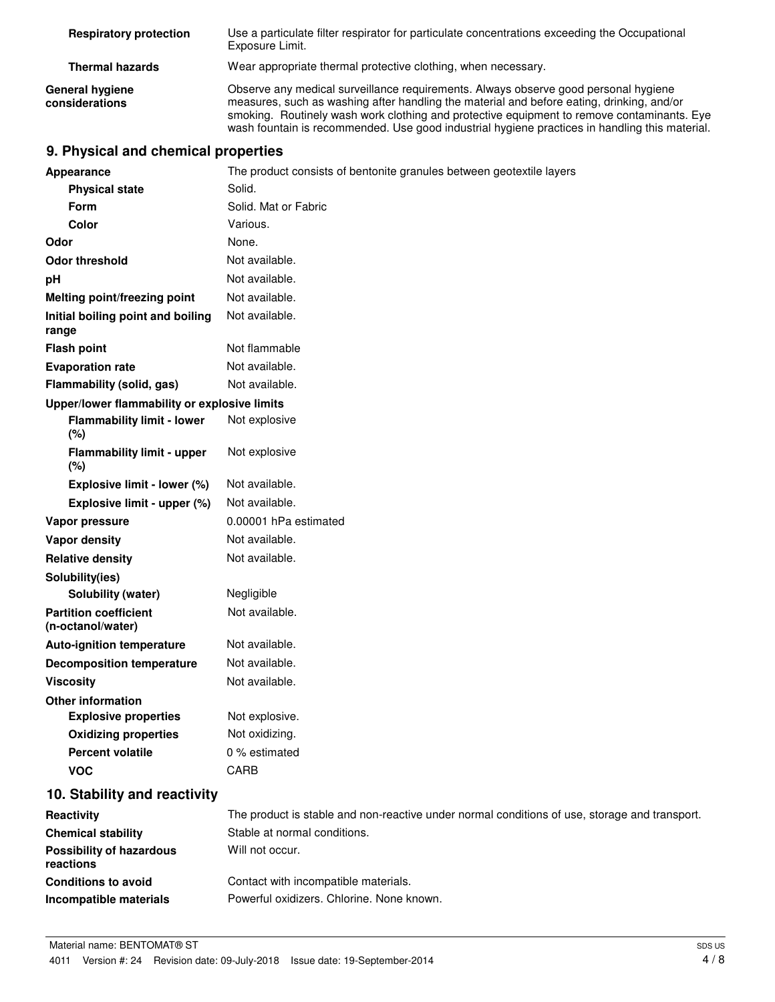| <b>Respiratory protection</b>            | Use a particulate filter respirator for particulate concentrations exceeding the Occupational<br>Exposure Limit.                                                                                                                                                                                                                                                                 |
|------------------------------------------|----------------------------------------------------------------------------------------------------------------------------------------------------------------------------------------------------------------------------------------------------------------------------------------------------------------------------------------------------------------------------------|
| <b>Thermal hazards</b>                   | Wear appropriate thermal protective clothing, when necessary.                                                                                                                                                                                                                                                                                                                    |
| <b>General hygiene</b><br>considerations | Observe any medical surveillance requirements. Always observe good personal hygiene<br>measures, such as washing after handling the material and before eating, drinking, and/or<br>smoking. Routinely wash work clothing and protective equipment to remove contaminants. Eye<br>wash fountain is recommended. Use good industrial hygiene practices in handling this material. |

## **9. Physical and chemical properties**

| Appearance                                        | The product consists of bentonite granules between geotextile layers                          |  |  |
|---------------------------------------------------|-----------------------------------------------------------------------------------------------|--|--|
| <b>Physical state</b>                             | Solid.                                                                                        |  |  |
| Form                                              | Solid. Mat or Fabric                                                                          |  |  |
| <b>Color</b>                                      | Various.                                                                                      |  |  |
| Odor                                              | None.                                                                                         |  |  |
| <b>Odor threshold</b>                             | Not available.                                                                                |  |  |
| рH                                                | Not available.                                                                                |  |  |
| <b>Melting point/freezing point</b>               | Not available.                                                                                |  |  |
| Initial boiling point and boiling<br>range        | Not available.                                                                                |  |  |
| <b>Flash point</b>                                | Not flammable                                                                                 |  |  |
| <b>Evaporation rate</b>                           | Not available.                                                                                |  |  |
| Flammability (solid, gas)                         | Not available.                                                                                |  |  |
| Upper/lower flammability or explosive limits      |                                                                                               |  |  |
| <b>Flammability limit - lower</b><br>(%)          | Not explosive                                                                                 |  |  |
| <b>Flammability limit - upper</b><br>(%)          | Not explosive                                                                                 |  |  |
| Explosive limit - lower (%)                       | Not available.                                                                                |  |  |
| Explosive limit - upper (%)                       | Not available.                                                                                |  |  |
| Vapor pressure                                    | 0.00001 hPa estimated                                                                         |  |  |
| <b>Vapor density</b>                              | Not available.                                                                                |  |  |
| <b>Relative density</b>                           | Not available.                                                                                |  |  |
| Solubility(ies)                                   |                                                                                               |  |  |
| Solubility (water)                                | Negligible                                                                                    |  |  |
| <b>Partition coefficient</b><br>(n-octanol/water) | Not available.                                                                                |  |  |
| <b>Auto-ignition temperature</b>                  | Not available.                                                                                |  |  |
| <b>Decomposition temperature</b>                  | Not available.                                                                                |  |  |
| <b>Viscosity</b>                                  | Not available.                                                                                |  |  |
| <b>Other information</b>                          |                                                                                               |  |  |
| <b>Explosive properties</b>                       | Not explosive.                                                                                |  |  |
| <b>Oxidizing properties</b>                       | Not oxidizing.                                                                                |  |  |
| <b>Percent volatile</b>                           | 0 % estimated                                                                                 |  |  |
| <b>VOC</b>                                        | <b>CARB</b>                                                                                   |  |  |
| 10. Stability and reactivity                      |                                                                                               |  |  |
| Reactivity                                        | The product is stable and non-reactive under normal conditions of use, storage and transport. |  |  |
| <b>Chemical stability</b>                         | Stable at normal conditions.                                                                  |  |  |
| <b>Possibility of hazardous</b><br>reactions      | Will not occur.                                                                               |  |  |
| <b>Conditions to avoid</b>                        | Contact with incompatible materials.                                                          |  |  |
| Incompatible materials                            | Powerful oxidizers. Chlorine. None known.                                                     |  |  |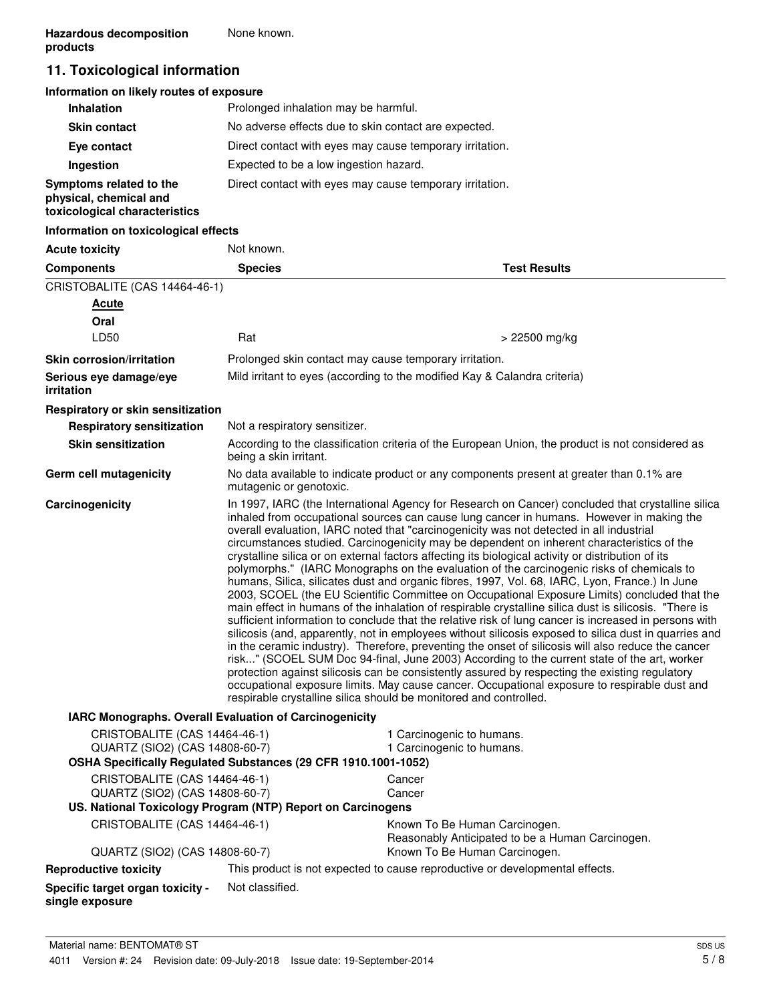## **11. Toxicological information**

#### **Information on likely routes of exposure**

| <b>Inhalation</b>                                                                  | Prolonged inhalation may be harmful.                     |
|------------------------------------------------------------------------------------|----------------------------------------------------------|
| <b>Skin contact</b>                                                                | No adverse effects due to skin contact are expected.     |
| Eye contact                                                                        | Direct contact with eyes may cause temporary irritation. |
| Ingestion                                                                          | Expected to be a low ingestion hazard.                   |
| Symptoms related to the<br>physical, chemical and<br>toxicological characteristics | Direct contact with eyes may cause temporary irritation. |

#### **Information on toxicological effects**

| <b>Acute toxicity</b>                                                                                                             | Not known.                                                                                                                                                                                                                                                                                                                                                                                                                                                                                                                                                                                                                                                                                                                                                                                                                                                                                                                                                                                                                                                                                                                                                                                                                                                                                                                                                                                                                                                                                                                                                                                         |                                                                                                                     |  |
|-----------------------------------------------------------------------------------------------------------------------------------|----------------------------------------------------------------------------------------------------------------------------------------------------------------------------------------------------------------------------------------------------------------------------------------------------------------------------------------------------------------------------------------------------------------------------------------------------------------------------------------------------------------------------------------------------------------------------------------------------------------------------------------------------------------------------------------------------------------------------------------------------------------------------------------------------------------------------------------------------------------------------------------------------------------------------------------------------------------------------------------------------------------------------------------------------------------------------------------------------------------------------------------------------------------------------------------------------------------------------------------------------------------------------------------------------------------------------------------------------------------------------------------------------------------------------------------------------------------------------------------------------------------------------------------------------------------------------------------------------|---------------------------------------------------------------------------------------------------------------------|--|
| <b>Components</b>                                                                                                                 | <b>Species</b>                                                                                                                                                                                                                                                                                                                                                                                                                                                                                                                                                                                                                                                                                                                                                                                                                                                                                                                                                                                                                                                                                                                                                                                                                                                                                                                                                                                                                                                                                                                                                                                     | <b>Test Results</b>                                                                                                 |  |
| CRISTOBALITE (CAS 14464-46-1)                                                                                                     |                                                                                                                                                                                                                                                                                                                                                                                                                                                                                                                                                                                                                                                                                                                                                                                                                                                                                                                                                                                                                                                                                                                                                                                                                                                                                                                                                                                                                                                                                                                                                                                                    |                                                                                                                     |  |
| <b>Acute</b>                                                                                                                      |                                                                                                                                                                                                                                                                                                                                                                                                                                                                                                                                                                                                                                                                                                                                                                                                                                                                                                                                                                                                                                                                                                                                                                                                                                                                                                                                                                                                                                                                                                                                                                                                    |                                                                                                                     |  |
| Oral                                                                                                                              |                                                                                                                                                                                                                                                                                                                                                                                                                                                                                                                                                                                                                                                                                                                                                                                                                                                                                                                                                                                                                                                                                                                                                                                                                                                                                                                                                                                                                                                                                                                                                                                                    |                                                                                                                     |  |
| LD50                                                                                                                              | Rat                                                                                                                                                                                                                                                                                                                                                                                                                                                                                                                                                                                                                                                                                                                                                                                                                                                                                                                                                                                                                                                                                                                                                                                                                                                                                                                                                                                                                                                                                                                                                                                                | > 22500 mg/kg                                                                                                       |  |
| <b>Skin corrosion/irritation</b>                                                                                                  |                                                                                                                                                                                                                                                                                                                                                                                                                                                                                                                                                                                                                                                                                                                                                                                                                                                                                                                                                                                                                                                                                                                                                                                                                                                                                                                                                                                                                                                                                                                                                                                                    | Prolonged skin contact may cause temporary irritation.                                                              |  |
| Serious eye damage/eye<br>irritation                                                                                              |                                                                                                                                                                                                                                                                                                                                                                                                                                                                                                                                                                                                                                                                                                                                                                                                                                                                                                                                                                                                                                                                                                                                                                                                                                                                                                                                                                                                                                                                                                                                                                                                    | Mild irritant to eyes (according to the modified Kay & Calandra criteria)                                           |  |
| Respiratory or skin sensitization                                                                                                 |                                                                                                                                                                                                                                                                                                                                                                                                                                                                                                                                                                                                                                                                                                                                                                                                                                                                                                                                                                                                                                                                                                                                                                                                                                                                                                                                                                                                                                                                                                                                                                                                    |                                                                                                                     |  |
| <b>Respiratory sensitization</b>                                                                                                  | Not a respiratory sensitizer.                                                                                                                                                                                                                                                                                                                                                                                                                                                                                                                                                                                                                                                                                                                                                                                                                                                                                                                                                                                                                                                                                                                                                                                                                                                                                                                                                                                                                                                                                                                                                                      |                                                                                                                     |  |
| <b>Skin sensitization</b>                                                                                                         | being a skin irritant.                                                                                                                                                                                                                                                                                                                                                                                                                                                                                                                                                                                                                                                                                                                                                                                                                                                                                                                                                                                                                                                                                                                                                                                                                                                                                                                                                                                                                                                                                                                                                                             | According to the classification criteria of the European Union, the product is not considered as                    |  |
| Germ cell mutagenicity                                                                                                            |                                                                                                                                                                                                                                                                                                                                                                                                                                                                                                                                                                                                                                                                                                                                                                                                                                                                                                                                                                                                                                                                                                                                                                                                                                                                                                                                                                                                                                                                                                                                                                                                    | No data available to indicate product or any components present at greater than 0.1% are<br>mutagenic or genotoxic. |  |
| Carcinogenicity                                                                                                                   | In 1997, IARC (the International Agency for Research on Cancer) concluded that crystalline silica<br>inhaled from occupational sources can cause lung cancer in humans. However in making the<br>overall evaluation, IARC noted that "carcinogenicity was not detected in all industrial<br>circumstances studied. Carcinogenicity may be dependent on inherent characteristics of the<br>crystalline silica or on external factors affecting its biological activity or distribution of its<br>polymorphs." (IARC Monographs on the evaluation of the carcinogenic risks of chemicals to<br>humans, Silica, silicates dust and organic fibres, 1997, Vol. 68, IARC, Lyon, France.) In June<br>2003, SCOEL (the EU Scientific Committee on Occupational Exposure Limits) concluded that the<br>main effect in humans of the inhalation of respirable crystalline silica dust is silicosis. "There is<br>sufficient information to conclude that the relative risk of lung cancer is increased in persons with<br>silicosis (and, apparently, not in employees without silicosis exposed to silica dust in quarries and<br>in the ceramic industry). Therefore, preventing the onset of silicosis will also reduce the cancer<br>risk" (SCOEL SUM Doc 94-final, June 2003) According to the current state of the art, worker<br>protection against silicosis can be consistently assured by respecting the existing regulatory<br>occupational exposure limits. May cause cancer. Occupational exposure to respirable dust and<br>respirable crystalline silica should be monitored and controlled. |                                                                                                                     |  |
| IARC Monographs. Overall Evaluation of Carcinogenicity                                                                            |                                                                                                                                                                                                                                                                                                                                                                                                                                                                                                                                                                                                                                                                                                                                                                                                                                                                                                                                                                                                                                                                                                                                                                                                                                                                                                                                                                                                                                                                                                                                                                                                    |                                                                                                                     |  |
| CRISTOBALITE (CAS 14464-46-1)<br>QUARTZ (SIO2) (CAS 14808-60-7)<br>OSHA Specifically Regulated Substances (29 CFR 1910.1001-1052) |                                                                                                                                                                                                                                                                                                                                                                                                                                                                                                                                                                                                                                                                                                                                                                                                                                                                                                                                                                                                                                                                                                                                                                                                                                                                                                                                                                                                                                                                                                                                                                                                    | 1 Carcinogenic to humans.<br>1 Carcinogenic to humans.                                                              |  |
|                                                                                                                                   |                                                                                                                                                                                                                                                                                                                                                                                                                                                                                                                                                                                                                                                                                                                                                                                                                                                                                                                                                                                                                                                                                                                                                                                                                                                                                                                                                                                                                                                                                                                                                                                                    |                                                                                                                     |  |
| QUARTZ (SIO2) (CAS 14808-60-7)                                                                                                    | CRISTOBALITE (CAS 14464-46-1)<br>Cancer<br>Cancer                                                                                                                                                                                                                                                                                                                                                                                                                                                                                                                                                                                                                                                                                                                                                                                                                                                                                                                                                                                                                                                                                                                                                                                                                                                                                                                                                                                                                                                                                                                                                  |                                                                                                                     |  |
| US. National Toxicology Program (NTP) Report on Carcinogens                                                                       |                                                                                                                                                                                                                                                                                                                                                                                                                                                                                                                                                                                                                                                                                                                                                                                                                                                                                                                                                                                                                                                                                                                                                                                                                                                                                                                                                                                                                                                                                                                                                                                                    |                                                                                                                     |  |
| CRISTOBALITE (CAS 14464-46-1)                                                                                                     |                                                                                                                                                                                                                                                                                                                                                                                                                                                                                                                                                                                                                                                                                                                                                                                                                                                                                                                                                                                                                                                                                                                                                                                                                                                                                                                                                                                                                                                                                                                                                                                                    | Known To Be Human Carcinogen.<br>Reasonably Anticipated to be a Human Carcinogen.                                   |  |
| QUARTZ (SIO2) (CAS 14808-60-7)                                                                                                    |                                                                                                                                                                                                                                                                                                                                                                                                                                                                                                                                                                                                                                                                                                                                                                                                                                                                                                                                                                                                                                                                                                                                                                                                                                                                                                                                                                                                                                                                                                                                                                                                    | Known To Be Human Carcinogen.                                                                                       |  |
| <b>Reproductive toxicity</b>                                                                                                      |                                                                                                                                                                                                                                                                                                                                                                                                                                                                                                                                                                                                                                                                                                                                                                                                                                                                                                                                                                                                                                                                                                                                                                                                                                                                                                                                                                                                                                                                                                                                                                                                    | This product is not expected to cause reproductive or developmental effects.                                        |  |
| Specific target organ toxicity -<br>single exposure                                                                               | Not classified.                                                                                                                                                                                                                                                                                                                                                                                                                                                                                                                                                                                                                                                                                                                                                                                                                                                                                                                                                                                                                                                                                                                                                                                                                                                                                                                                                                                                                                                                                                                                                                                    |                                                                                                                     |  |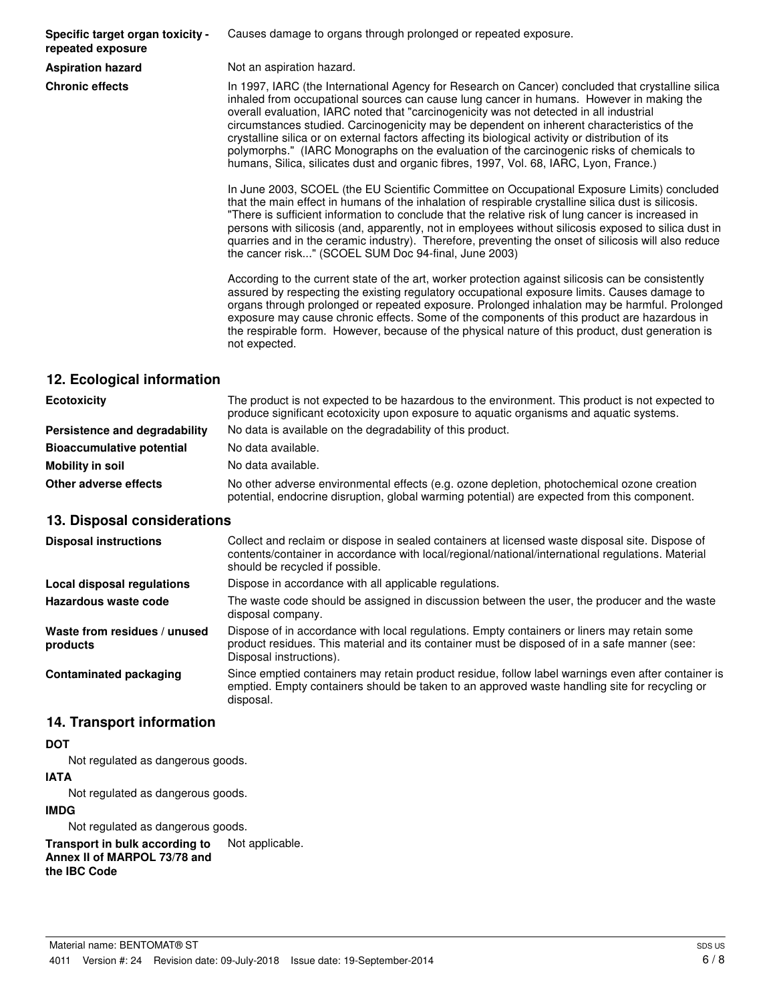**Specific target organ toxicity repeated exposure**

Causes damage to organs through prolonged or repeated exposure.

**Aspiration hazard** Not an aspiration hazard.

**Chronic effects** In 1997, IARC (the International Agency for Research on Cancer) concluded that crystalline silica inhaled from occupational sources can cause lung cancer in humans. However in making the overall evaluation, IARC noted that "carcinogenicity was not detected in all industrial circumstances studied. Carcinogenicity may be dependent on inherent characteristics of the crystalline silica or on external factors affecting its biological activity or distribution of its polymorphs." (IARC Monographs on the evaluation of the carcinogenic risks of chemicals to humans, Silica, silicates dust and organic fibres, 1997, Vol. 68, IARC, Lyon, France.)

> In June 2003, SCOEL (the EU Scientific Committee on Occupational Exposure Limits) concluded that the main effect in humans of the inhalation of respirable crystalline silica dust is silicosis. "There is sufficient information to conclude that the relative risk of lung cancer is increased in persons with silicosis (and, apparently, not in employees without silicosis exposed to silica dust in quarries and in the ceramic industry). Therefore, preventing the onset of silicosis will also reduce the cancer risk..." (SCOEL SUM Doc 94-final, June 2003)

> According to the current state of the art, worker protection against silicosis can be consistently assured by respecting the existing regulatory occupational exposure limits. Causes damage to organs through prolonged or repeated exposure. Prolonged inhalation may be harmful. Prolonged exposure may cause chronic effects. Some of the components of this product are hazardous in the respirable form. However, because of the physical nature of this product, dust generation is not expected.

#### **12. Ecological information**

| <b>Ecotoxicity</b>               | The product is not expected to be hazardous to the environment. This product is not expected to<br>produce significant ecotoxicity upon exposure to aquatic organisms and aquatic systems. |  |
|----------------------------------|--------------------------------------------------------------------------------------------------------------------------------------------------------------------------------------------|--|
| Persistence and degradability    | No data is available on the degradability of this product.                                                                                                                                 |  |
| <b>Bioaccumulative potential</b> | No data available.                                                                                                                                                                         |  |
| Mobility in soil                 | No data available.                                                                                                                                                                         |  |
| Other adverse effects            | No other adverse environmental effects (e.g. ozone depletion, photochemical ozone creation<br>potential, endocrine disruption, global warming potential) are expected from this component. |  |

#### **13. Disposal considerations**

| <b>Disposal instructions</b>             | Collect and reclaim or dispose in sealed containers at licensed waste disposal site. Dispose of<br>contents/container in accordance with local/regional/national/international regulations. Material<br>should be recycled if possible. |
|------------------------------------------|-----------------------------------------------------------------------------------------------------------------------------------------------------------------------------------------------------------------------------------------|
| Local disposal regulations               | Dispose in accordance with all applicable regulations.                                                                                                                                                                                  |
| Hazardous waste code                     | The waste code should be assigned in discussion between the user, the producer and the waste<br>disposal company.                                                                                                                       |
| Waste from residues / unused<br>products | Dispose of in accordance with local regulations. Empty containers or liners may retain some<br>product residues. This material and its container must be disposed of in a safe manner (see:<br>Disposal instructions).                  |
| <b>Contaminated packaging</b>            | Since emptied containers may retain product residue, follow label warnings even after container is<br>emptied. Empty containers should be taken to an approved waste handling site for recycling or<br>disposal.                        |

#### **14. Transport information**

#### **DOT**

Not regulated as dangerous goods.

#### **IATA**

Not regulated as dangerous goods.

#### **IMDG**

Not regulated as dangerous goods.

**Transport in bulk according to** Not applicable. **Annex II of MARPOL 73/78 and the IBC Code**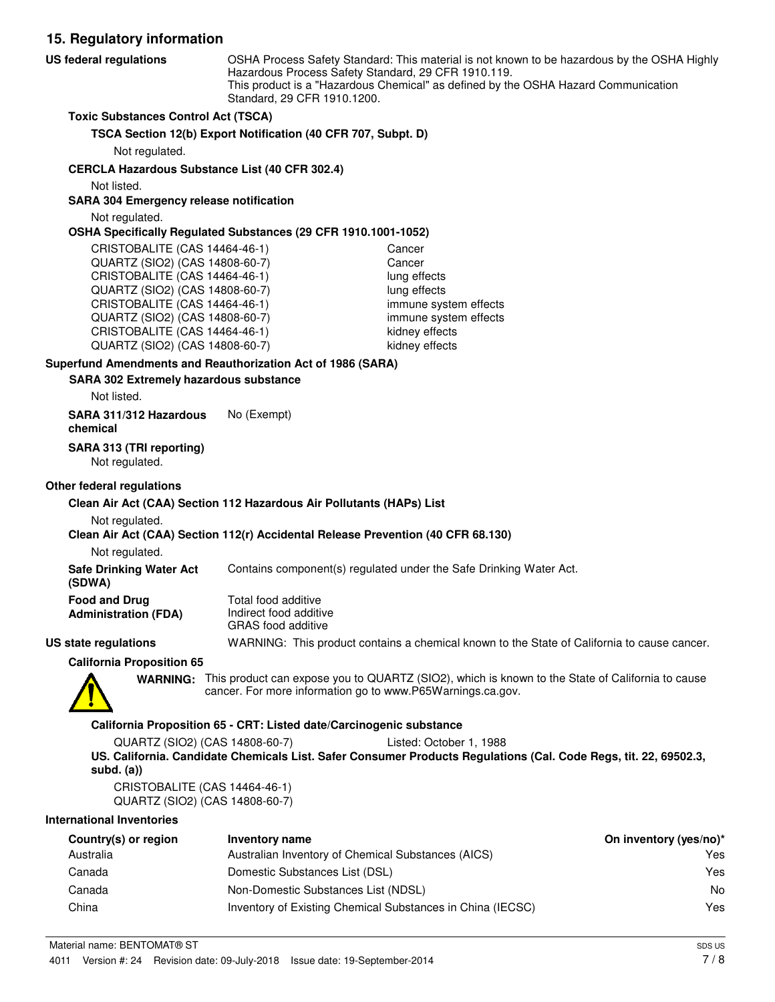**15. Regulatory information** OSHA Process Safety Standard: This material is not known to be hazardous by the OSHA Highly Hazardous Process Safety Standard, 29 CFR 1910.119. This product is a "Hazardous Chemical" as defined by the OSHA Hazard Communication Standard, 29 CFR 1910.1200. **US federal regulations Toxic Substances Control Act (TSCA) TSCA Section 12(b) Export Notification (40 CFR 707, Subpt. D)** Not regulated. **CERCLA Hazardous Substance List (40 CFR 302.4)** Not listed. **SARA 304 Emergency release notification** Not regulated. **OSHA Specifically Regulated Substances (29 CFR 1910.1001-1052)** CRISTOBALITE (CAS 14464-46-1) Cancer QUARTZ (SIO2) (CAS 14808-60-7) Cancer CRISTOBALITE (CAS 14464-46-1) lung effects QUARTZ (SIO2) (CAS 14808-60-7) lung effects CRISTOBALITE (CAS 14464-46-1) immune system effects QUARTZ (SIO2) (CAS 14808-60-7) immune system effects CRISTOBALITE (CAS 14464-46-1) kidney effects QUARTZ (SIO2) (CAS 14808-60-7) kidney effects **SARA 302 Extremely hazardous substance Superfund Amendments and Reauthorization Act of 1986 (SARA)** Not listed. **SARA 311/312 Hazardous** No (Exempt) **chemical**

**SARA 313 (TRI reporting)**

Not regulated.

#### **Other federal regulations**

#### **Clean Air Act (CAA) Section 112 Hazardous Air Pollutants (HAPs) List**

Not regulated.

#### **Clean Air Act (CAA) Section 112(r) Accidental Release Prevention (40 CFR 68.130)**

Not regulated.

**Safe Drinking Water Act** Contains component(s) regulated under the Safe Drinking Water Act.

| Food and Drug        | Total food additive                                                                                                                                                                                                                                                                                                                                                                                                         |
|----------------------|-----------------------------------------------------------------------------------------------------------------------------------------------------------------------------------------------------------------------------------------------------------------------------------------------------------------------------------------------------------------------------------------------------------------------------|
| Administration (FDA) | Indirect food additive<br>$\bigcap_{i=1}^n A_i \bigcap_{i=1}^n A_i = A_i = \bigcup_{i=1}^n A_i = A_i = \bigcup_{i=1}^n A_i = A_i = \bigcup_{i=1}^n A_i = A_i = \bigcup_{i=1}^n A_i = A_i = \bigcup_{i=1}^n A_i = A_i = \bigcup_{i=1}^n A_i = A_i = \bigcup_{i=1}^n A_i = A_i = \bigcup_{i=1}^n A_i = A_i = \bigcup_{i=1}^n A_i = A_i = \bigcup_{i=1}^n A_i = A_i = \bigcup_{i=1}^n A_i = A_i = \bigcup_{i=1}^n A_i = A_i =$ |

GRAS food additive **US state regulations** WARNING: This product contains a chemical known to the State of California to cause cancer.

**California Proposition 65**



**(SDWA)**

WARNING: This product can expose you to QUARTZ (SIO2), which is known to the State of California to cause cancer. For more information go to www.P65Warnings.ca.gov.

#### **California Proposition 65 - CRT: Listed date/Carcinogenic substance**

QUARTZ (SIO2) (CAS 14808-60-7) Listed: October 1, 1988 **US. California. Candidate Chemicals List. Safer Consumer Products Regulations (Cal. Code Regs, tit. 22, 69502.3, subd. (a))**

CRISTOBALITE (CAS 14464-46-1) QUARTZ (SIO2) (CAS 14808-60-7)

#### **International Inventories**

| Country(s) or region | Inventory name                                             | On inventory (yes/no)* |
|----------------------|------------------------------------------------------------|------------------------|
| Australia            | Australian Inventory of Chemical Substances (AICS)         | Yes                    |
| Canada               | Domestic Substances List (DSL)                             | Yes                    |
| Canada               | Non-Domestic Substances List (NDSL)                        | No                     |
| China                | Inventory of Existing Chemical Substances in China (IECSC) | Yes                    |